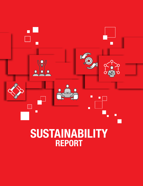

# **SUSTAINABILITY** REPORT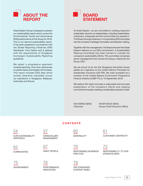ABOUT THE REPORT

Great Eastern Group is pleased to present our sustainability report which covers the Environmental, Social and Governance (ESG) performance of the Group for 2018. This is our second sustainability report. It has been prepared in accordance with the Global Reporting Initiatives (GRI) Standards: Core Option and is aligned with the requirements of Singapore Exchange's Sustainability Reporting guidelines.

We adopt a progressive approach towards reporting. Over time, disclosures on performance and targets will increase. This report includes ESG data which (unless otherwise indicated) covers our operations in Singapore, Malaysia, Indonesia and Brunei.



At Great Eastern, we are committed to creating long-term sustainable value for our stakeholders, including shareholders, customers, employees and the communities we operate in. The Board strongly believes in incorporating ESG principles into the company's strategic formulation and decision making.

Together with the management, the Board ensures that Great Eastern delivers on our ESG commitment. A Sustainability Steering Committee has been formed to oversee the company's sustainability efforts. This committee comprises senior management from across the Group, chaired by the Group CEO.

We are proud to be the first Singapore-domiciled insurer added as a signatory to the United Nations Principles for Sustainable Insurance (UN PSI). We were accepted as a member of the United Nations Environment Programme Finance Initiative (UNEP FI) on 10 September 2018.

We believe this report provides a reasonable and accurate presentation of the company's efforts and ongoing commitment towards creating a sustainable business model.

KOH BENG SENG KHOR HOCK SENG Chairman Group Chief Executive Officer

#### CONTENTS

54

OUR SUSTAINABILITY APPROACH

65 **COMMUNITIES** 

75 ENVIRONMENT



### 67 RIGHT PEOPLE

ENGAGEMENT

76 PERFORMANCE INDICATORS

60 **MATERIALITY** 

61 CUSTOMER-CENTRICITY

## 70

RESPONSIBLE BUSINESS PRACTICE

73 RESPONSIBILITY TO OUR

**STAKEHOLDERS** 

78 GRI STANDARDS CONTENT INDEX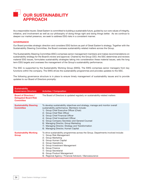

As a responsible insurer, Great Eastern is committed to building a sustainable future, guided by our core values of integrity, initiative, and involvement as well as our philosophy of doing things right and doing things better. As we continue to deepen our market presence, we seek to address ESG risks in a consistent manner.

#### **GOVERNANCE**

Our Board provides strategic direction and considers ESG factors as part of Great Eastern's strategy. Together with the Sustainability Steering Committee, the Board oversees sustainability-related matters across the Group.

The Sustainability Steering Committee (SSC) comprises senior management members and makes recommendations on sustainability strategy for the Board's review and approval. Chaired by the Group CEO, the SSC determines and reviews material ESG issues, formulates sustainability strategies taking into consideration these material issues, sets the long term ESG targets and oversees the management of the Group's sustainability performance.

The SSC is supported by the Sustainability Working Group (SWG). The SWG comprises senior managers from key functions within the company. The SWG drives the sustainability programmes and provides updates to the SSC.

The following governance structure is in place to ensure timely management of sustainability issues and to provide updates to our Board of Directors promptly:

| Sustainability<br><b>Governance Structure</b>                                  | <b>Activities / Composition</b>                                                                                                                                                                                                                                                                                                                                                                                                                                                             |
|--------------------------------------------------------------------------------|---------------------------------------------------------------------------------------------------------------------------------------------------------------------------------------------------------------------------------------------------------------------------------------------------------------------------------------------------------------------------------------------------------------------------------------------------------------------------------------------|
| <b>Board of Directors /</b><br><b>Delegated Board Risk</b><br><b>Committee</b> | The Board of Directors is updated regularly on sustainability-related matters                                                                                                                                                                                                                                                                                                                                                                                                               |
| <b>Sustainability Steering</b><br><b>Committee</b>                             | To develop sustainability objectives and strategy, manage and monitor overall<br>sustainability performance. Members include:<br>Group Chief Executive Officer (Chair)<br>1)<br>Group Chief Risk Officer<br>(2)<br>Group Chief Financial Officer<br>3)<br>Group Chief Investment Officer<br>4)<br>Group Company Secretary and General Counsel<br>5)<br>Managing Director, Group Marketing<br>6)<br>7) Managing Director, Strategy and Transformation<br>8) Managing Director, Human Capital |
| <b>Sustainability Working</b><br>Group                                         | To drive sustainability programmes across the Group. Departments involved include:<br>Group Risk Management<br>1)<br>Group Marketing<br>(2)<br>Group Human Capital<br>3)<br><b>Group Operations</b><br>4)<br>Group Investment Management<br>5)<br>Group Finance<br>6)<br><b>Group Secretariat</b><br>7)<br><b>Group Product Management</b><br>8)<br>Regional Agency / Financial Advisors / Bancassurance<br>9)                                                                              |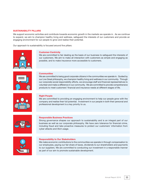#### SUSTAINABILITY PILLARS

We support economic activities and contribute towards economic growth in the markets we operate in. As we continue to expand, we aim to champion healthy living and wellness, safeguard the interests of our customers and provide an engaging environment for our people to grow and realise their potential.

Our approach to sustainability is focused around five pillars:



#### Customer-Centricity

We are committed to fair dealing as the basis of our business to safeguard the interests of our customers. We aim to make all interaction with customers as simple and engaging as possible, and to make insurance more accessible to customers.



#### **Communities**

We are committed to being good corporate citizens in the communities we operate in. Guided by our Live Great philosophy, we champion healthy living and wellness in our community. Through our corporate social responsibility efforts, we encourage staff and financial representatives to volunteer and make a difference in our community. We are committed to provide comprehensive products to meet customers' financial and insurance needs at different stages of life.



#### Right People

We are committed to providing an engaging environment to help our people grow with the company and realise their full potential. Investment in our people in both their personal and professional development is a key priority to us.



#### Responsible Business Practices

Strong governance shapes our approach to sustainability and is an integral part of our business as well as our corporate philosophy. We have zero tolerance for financial crime, including fraud and take proactive measures to protect our customers' information from cyber attacks and illicit usage.



#### Responsibility to Our Stakeholders

We make economic contributions to the communities we operate in through compensation to our employees, paying our fair share of taxes, dividends to our shareholders and payments to our suppliers. We are committed to conducting our investment in a responsible manner as part of our aim to promote sustainable development.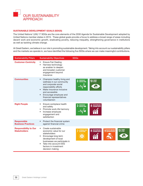

#### SUSTAINABLE DEVELOPMENT GOALS (SDGS)

The United Nations' (UN) 17 SDGs are the core elements of the 2030 Agenda for Sustainable Development adopted by United Nations member states in 2015. These global goals provide a focus to address a broad range of areas including decent work and economic growth, eradicating poverty, reducing inequality, strengthening governance in institutions as well as tackling climate change.

At Great Eastern, we believe in our role in promoting sustainable development. Taking into account our sustainability pillars and the markets we operate in, we have identified the following five SDGs where we can make meaningful contributions.

| <b>Sustainability Pillars</b>                       | <b>Sustainability Objectives</b>                                                                                                                                                                                                                        | <b>SDGs</b>                                                                                                                             |
|-----------------------------------------------------|---------------------------------------------------------------------------------------------------------------------------------------------------------------------------------------------------------------------------------------------------------|-----------------------------------------------------------------------------------------------------------------------------------------|
| <b>Customer-Centricity</b>                          | <b>Ensure Fair Dealing</b><br>$\bullet$<br>Harness technology<br>$\bullet$<br>as enabler to deepen<br>and broaden customer<br>engagement beyond<br>insurance                                                                                            |                                                                                                                                         |
| <b>Communities</b>                                  | Champion healthy living and<br>wellness in our community<br>and corporate social<br>responsibility efforts<br>Make insurance inclusive<br>and accessible<br>Encourage employee and<br>financial representatives<br>volunteerism                         | GOOD HEALTH<br>And Well-Being<br>13 GLIMATE<br>3                                                                                        |
| <b>Right People</b>                                 | Ensure workplace health<br>$\bullet$<br>and safety<br>Promote work-life harmony<br>$\bullet$<br>Increase employee<br>$\bullet$<br>engagement and<br>satisfaction                                                                                        | GOOD HEALTH<br>And Well-Being<br><b>8</b> DECENT WORK AND<br>3                                                                          |
| <b>Responsible</b><br><b>Business Practices</b>     | Protect the financial system<br>against financial crime                                                                                                                                                                                                 |                                                                                                                                         |
| <b>Responsibility to Our</b><br><b>Stakeholders</b> | Create sustainable<br>$\bullet$<br>economic value for our<br>stakeholders<br>Encourage long-term<br>$\bullet$<br>development of local<br>businesses we participate in<br>Take into account ESG<br>$\bullet$<br>factors in investment<br>decision making | 13 GLIMATE<br><b>9 INDUSTRY, INNOVATION</b><br><b>9</b> ANDINFRASTRUCTURE<br><b>8</b> DECENT WORK AND<br>AFFORDABLE AND<br>CLEAN ENERGY |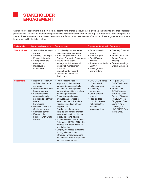

Stakeholder engagement is a key step in determining material issues as it gives us insight into our stakeholders' perspectives. We gain an understanding of their views and concerns through our regular interactions. They comprise our shareholders, customers, employees, regulators and financial representatives. Our stakeholders engagement approach is summarised in the table below:

| <b>Stakeholder</b>  | <b>Issues and concerns</b>                                                                                                                                                                                                                                                                                                        | Our response                                                                                                                                                                                                                                                                                                                                                                                                                                                                                                                                                                                                                                                                                                                                          | <b>Engagement method</b>                                                                                                                                                                                   | Frequency                                                                                                                                                                                                                                    |
|---------------------|-----------------------------------------------------------------------------------------------------------------------------------------------------------------------------------------------------------------------------------------------------------------------------------------------------------------------------------|-------------------------------------------------------------------------------------------------------------------------------------------------------------------------------------------------------------------------------------------------------------------------------------------------------------------------------------------------------------------------------------------------------------------------------------------------------------------------------------------------------------------------------------------------------------------------------------------------------------------------------------------------------------------------------------------------------------------------------------------------------|------------------------------------------------------------------------------------------------------------------------------------------------------------------------------------------------------------|----------------------------------------------------------------------------------------------------------------------------------------------------------------------------------------------------------------------------------------------|
| <b>Shareholders</b> | • Sustainable earnings<br>growth<br>• Volatility in earnings<br>• Financial strength<br>• Strong corporate<br>governance<br>• Disclosure of<br>information                                                                                                                                                                        | • Disciplined growth strategy<br>• Consistent dividend policy<br>• Strict compliance with the<br>Code of Corporate Governance<br>• Ensure sound capital<br>management strategy and<br>robust risk management<br>practices<br>• Strong board oversight<br>• Transparent and timely<br>disclosures                                                                                                                                                                                                                                                                                                                                                                                                                                                      | • Financial results<br>reports<br>• Annual Report<br>• Great Eastern<br>website<br>• Announcements via<br><b>SGXNet</b><br>• Meetings with<br>shareholders                                                 | • Quarterly financial<br>reports<br>• Annual report and<br><b>Annual General</b><br>Meeting<br>• Regular meetings<br>with shareholders                                                                                                       |
| <b>Customers</b>    | • Healthy lifestyle with<br>sufficient insurance<br>coverage<br>• Wealth accumulation<br>• Legacy planning<br>• Comprehensive<br>range and quality<br>products to suit their<br>needs<br>• Fair dealing<br>• Professional advice<br>• Customer privacy<br>• Seamless service<br>• Ease of doing<br>business with Great<br>Eastern | • Provide clear details for<br>all products, their defining<br>features, benefits and risks<br>and include the respective<br>terms and conditions in all our<br>marketing collaterals.<br>• Provide comprehensive<br>products and services to<br>meet customers' financial and<br>insurance needs at different<br>stages of life.<br>• Conduct regular product and<br>skills training for our financial<br>representatives to equip them<br>to provide sound advice.<br>• Implemented Robotic Process<br>Automation (RPA) in 2017 which<br>reduced turn-around time for<br>hospital claims<br>• Simplify processes leveraging<br>our digital capabilities<br>• Introduce PayNow service to<br>enhance the electronic payment<br>services to customers | • LIVE GREAT series<br>of health and<br>wellness events<br>• Marketing<br>campaigns<br>• Conduct focus<br>groups<br>• Face-to-face<br>portfolio reviews<br>with respective<br>financial<br>representatives | • Regular LIVE<br><b>GREAT talks and</b><br>seminars<br>• Annual LIVE<br><b>GREAT</b> events,<br>including Great<br>Eastern Women's<br>Run (GEWR) in<br>Singapore; Great<br>Eastern Viper<br>Challenge and<br>LIVE GREAT Run<br>in Malaysia. |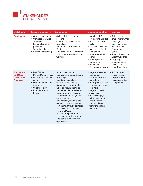

| <b>Stakeholder</b>                                                     | <b>Issues and concerns</b>                                                                                                                       | Our response                                                                                                                                                                                                                                                                                                                                                                                                                                                                                                                                                                      | <b>Engagement method</b>                                                                                                                                                                                                                                                                    | Frequency                                                                                                                                                                                                                         |
|------------------------------------------------------------------------|--------------------------------------------------------------------------------------------------------------------------------------------------|-----------------------------------------------------------------------------------------------------------------------------------------------------------------------------------------------------------------------------------------------------------------------------------------------------------------------------------------------------------------------------------------------------------------------------------------------------------------------------------------------------------------------------------------------------------------------------------|---------------------------------------------------------------------------------------------------------------------------------------------------------------------------------------------------------------------------------------------------------------------------------------------|-----------------------------------------------------------------------------------------------------------------------------------------------------------------------------------------------------------------------------------|
| <b>Employees</b>                                                       | • Career development<br>• Competitive wages<br>and benefits<br>• Fair employment<br>practices<br>• Work-life balance<br>• Continuous learning    | • Skills building and future<br>proofing<br>• Create a fair and inclusive<br>workplace<br>• Aim to be an Employer of<br>Choice<br>• Establish our LIFE Programme<br>which champions health and<br>wellness                                                                                                                                                                                                                                                                                                                                                                        | • Monthly LIFE<br>Programme activities<br>• Group CEO town<br>halls<br>• Divisional town halls<br>• Making Life Great<br>workshops<br>• Staffnet (internal<br>portal)<br>• EDM updates to<br>employees<br>• Employee<br><b>Engagement Survey</b>                                            | • Twice yearly<br>employee townhall<br>meetings<br>• Bi-Annual Group-<br>wide Employee<br>Engagement<br>Survey<br>• Annual "Making Life<br>Great" workshop<br>• Ongoing<br>engagement at<br>the division and<br>department levels |
| <b>Regulators</b><br>and Other<br><b>Government</b><br><b>Agencies</b> | • Risk Culture<br>• Combating financial<br>crime<br>• Data governance and<br>data loss<br>• Cyber security<br>• Financial stability<br>• Fintech | • Robust risk culture<br>• Market Conduct Risk • Established a Cyber Security<br>Roadmap<br>• Mandatory completion<br>of extensive e-learning<br>programmes by all employees<br>• Conduct regular trainings<br>and issued circulars on data<br>governance and Personal<br>Data Protection Act (PDPA)<br>requirements<br>• Independent, effective and<br>prompt handling of customer<br>complaints through compliance<br>with the Group Complaint<br><b>Handling Policy</b><br>• Policies and procedures<br>to ensure compliance with<br>applicable laws, rules and<br>regulations | • Regular meetings<br>and ad hoc<br>consultations with<br>regulators<br>• Participate in market<br>industry forums and<br>seminars<br>• Regulatory and<br>Audit reports<br>• Actively engage<br>Ministry of Home<br>Affairs ("MHA") in<br>the detection of<br>terrorism-related<br>persons. | • Ad hoc or on a<br>regular basis,<br>depending on<br>the nature of the<br>engagement                                                                                                                                             |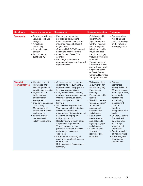| <b>Stakeholder</b>                         | <b>Issues and concerns</b>                                                                                                                                                                                                                                                                                                 | Our response                                                                                                                                                                                                                                                                                                                                                                                                                                                                                                                                                                                                                                                                                                                                                        | <b>Engagement method</b>                                                                                                                                                                                                                                                                                                                                                                             | Frequency                                                                                                                                                                                                                                                                                                                                                                                                   |
|--------------------------------------------|----------------------------------------------------------------------------------------------------------------------------------------------------------------------------------------------------------------------------------------------------------------------------------------------------------------------------|---------------------------------------------------------------------------------------------------------------------------------------------------------------------------------------------------------------------------------------------------------------------------------------------------------------------------------------------------------------------------------------------------------------------------------------------------------------------------------------------------------------------------------------------------------------------------------------------------------------------------------------------------------------------------------------------------------------------------------------------------------------------|------------------------------------------------------------------------------------------------------------------------------------------------------------------------------------------------------------------------------------------------------------------------------------------------------------------------------------------------------------------------------------------------------|-------------------------------------------------------------------------------------------------------------------------------------------------------------------------------------------------------------------------------------------------------------------------------------------------------------------------------------------------------------------------------------------------------------|
| <b>Community</b>                           | varying needs and<br>budgets<br>• A healthier<br>community<br>• A more inclusive<br>society<br>• Environmental<br>sustainability                                                                                                                                                                                           | • Products which meet • Provide comprehensive<br>products and services to<br>meet customers' financial and<br>insurance needs at different<br>stages of life<br>• Organise LIVE GREAT series of<br>health and wellness events<br>• Great Eastern Cares CSR<br>activities<br>• Encourage volunteerism<br>among employees and financial<br>representatives                                                                                                                                                                                                                                                                                                                                                                                                            | • Collaborate with<br>government<br>agencies such as<br><b>Central Provident</b><br>Fund (CPF) and<br>Ministry of Health<br>(MOH) to bridge<br>the protection gap<br>through government<br>schemes<br>• Through series of<br>LIVE GREAT health<br>and wellness events<br>• Organise a series<br>of Great Eastern<br>Cares CSR activities<br>throughout the year                                      | • Regular and as<br>well as ad hoc<br>basis, depending<br>on the nature of<br>the engagement                                                                                                                                                                                                                                                                                                                |
| <b>Financial</b><br><b>Representatives</b> | • Updated product<br>knowledge and<br>skill competency to<br>provide sound advice<br>• Digital tools for<br>better agency<br>and customer<br>engagement<br>• Data governance and<br>data privacy<br>• Management of<br>market conduct risk<br>and controls<br>• Sharing of best<br>practices and<br>initiatives regionally | • Conduct regular product and<br>skills training for our financial<br>representatives to equip them<br>to provide sound advice<br>• Integrated bite sized learning<br>modules to supplement existing<br>training roadmap, and allow<br>continuous pre and post<br>learning<br>• Annual e-learning exercises<br>• Work closely with Distribution<br>Division to improve the<br>management of market conduct<br>risks through appropriate<br>mitigating controls<br>• Regular review of touch points<br>for potential improvement<br>• Timely updates on new<br>products, company initiatives<br>and changes to agency<br>quidelines<br>• Implemented a new digital<br>point of sale system known as<br>GreatAdvice<br>• Building centre of excellences<br>regionally | • Training sessions<br>at our Centre for<br>Excellence (CFE)<br>• Face-to-face<br>meetings<br>• Engagement with<br>leaders<br>• Townhall/ Leaders<br>Cluster meetings/<br>Appreciation<br>engagement<br>sessions with<br>stakeholders<br>• Use of social<br>media tools and<br>applications to<br>regularly engage<br>stakeholders<br>• Capitalize and<br>synergize on<br>resources and<br>expertise | • Regular<br>segmented<br>training sessions<br>• 24 hours access<br>to our digital tools,<br>social media<br>applications<br>and learning<br>management<br>platform<br>• Quarterly<br>engagement with<br>leaders<br>• Quarterly Leaders<br>Townhall, led<br>by Group CEO<br>and Group<br>Management<br>Committee<br>• Quarterly leader<br>cluster meetings<br>• Adhoc Regional<br>Engagement<br>Conferences |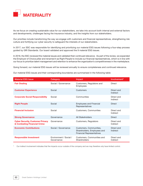

As we focus on creating sustainable value for our stakeholders, we take into account both internal and external factors and developments, challenges facing the insurance industry, and the insights from our stakeholders.

Our priorities include transforming the way we engage with customers and financial representatives, strengthening risk culture and fortifying our cyber security to safeguard the interests of our stakeholders.

In 2017, our SSC was responsible for identifying and prioritizing our material ESG issues following a four-step process guided by GRI Standards. Our board validated and approved the 9 material ESG issues.

In 2018, the SSC reviewed the material issues and validated their continued relevance. As part of the review, we expanded the Employer of Choice pillar and renamed it as Right People to include our financial representatives, which is in line with our focus to prioritize talent management and retention to enhance the organization's competitiveness in the marketplace.

Going forward, our material ESG issues will be reviewed annually to ensure completeness and continued relevance.

Our material ESG issues and their corresponding boundaries are summarised in the following table:

| <b>Material ESG Issue</b>                                              | Category                             | Impact                                                                                     | Involvement*           |
|------------------------------------------------------------------------|--------------------------------------|--------------------------------------------------------------------------------------------|------------------------|
| <b>Fair Dealing</b>                                                    | Social / Governance                  | Customers, Regulators and<br><b>Employees</b>                                              | <b>Direct</b>          |
| <b>Customer Experience</b>                                             | Social                               | <b>Customers</b>                                                                           | Direct and<br>Indirect |
| <b>Corporate Social Responsibility</b>                                 | Social                               | Communities                                                                                | Direct and<br>Indirect |
| <b>Right People</b>                                                    | Social                               | <b>Employees and Financial</b><br>Representatives                                          | <b>Direct</b>          |
| <b>Financial Inclusion</b>                                             | Social                               | Customers, Communities                                                                     | Direct and<br>Indirect |
| <b>Strong Governance</b>                                               | Governance                           | All Stakeholders                                                                           | <b>Direct</b>          |
| <b>Cyber Security, Customer Privacy</b><br>& Combating Financial Crime | Governance                           | Customers, Regulators                                                                      | Direct and<br>Indirect |
| <b>Economic Contributions</b>                                          | Social / Governance                  | Customers, Communities,<br>Shareholders, Employees and<br><b>Financial Representatives</b> | Direct and<br>Indirect |
| <b>Responsible Investment</b>                                          | Environment / Social /<br>Governance | Customers, Communities and<br>Shareholders                                                 | Direct and<br>Indirect |

Our indirect involvement indicates that the impacts occur outside of the company and we may therefore only have limited control.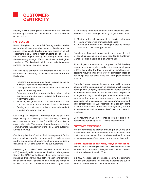

Integrity in all our dealings with our customers and the wider community is one of our core values and the cornerstone of our business.

#### FAIR DEALING

By upholding best practices in Fair Dealing, we aim to deliver our products to customers in a transparent and responsible manner, helping us to develop long-term partnerships with customers. Fair Dealing directly impacts our customers and has a bearing on the way the industry is perceived by the community at large. We aim to adhere to the highest standards of Fair Dealing to reinforce and reflect customer centricity as one of our core values.

Fair Dealing is central to our corporate culture. We are committed to adhering to the MAS Guidelines on Fair Dealing by:

- Providing professional and quality advice based on individual needs and circumstances
- Offering products and services that are suitable for our target customer segments.
- Ensuring competent representatives who provide our customers with quality advice and appropriate recommendations.
- Providing clear, relevant and timely information so that our customers can make informed financial decisions.
- Dealing with customer complaints in an independent, effective and prompt manner.

Our Group Fair Dealing Committee has the oversight responsibility of fair dealing at Great Eastern, fair dealing outcomes are reported to the Board Risk Committee on a quarterly basis. This demonstrates the company's firm commitment to the adoption of the Fair Dealing outcomes across the Group.

Our Group Market Conduct Risk Management Policy, augmented by operating manuals and procedures, sets out the expectations of good market conduct practices in delivering Fair Dealing outcomes to our customers.

Fair Dealing and Market Conduct Key Performance Indicators (KPIs) are assigned to members of the Group Management Committee (GMC) by the Group CEO. These members are managing divisions that have active roles in contributing to the achievement of Fair Dealing outcomes and managing Market Conduct risks. Fulfilment of these assigned KPIs

is tied directly to the remuneration of the respective GMC members. The Fair Dealing monitoring programme includes:

- 1. Monitoring the achievement of Fair Dealing outcomes
- 2. Regulatory reporting of misconduct cases
- 3. Internal and external audit findings related to market conduct and fair dealing principles

Results from the monitoring of metrics and thresholds set for each Fair Dealing Outcome are reported to the Senior Management and Board on a quarterly basis.

All employees are required to complete our Fair Dealing e-learning module regularly and all of our new employees in 2018 completed the training as part of employee onboarding requirements. There were no significant cases of non-compliance pertaining to the Fair Dealing requirements in 2018.

Similarly, financial representatives are required to undergo training with the Company upon on-boarding, which includes training on the Company's products and expected conduct for representatives. New representatives are also required to undergo coaching from their supervisors via joint fieldwork, to ensure that new representatives are appropriately supervised in the execution of the Company's prescribed sales advisory process. Supervisors exert on-going oversight of all representatives under their management, via the endorsement of their representatives' sales and periodic coaching.

Going forward, in 2019 we continue to target zero noncompliance pertaining to Fair Dealing requirements.

#### CUSTOMER EXPERIENCE

We are committed to provide meaningful solutions and deliver a superior differentiated customer experience. The customer is the centre of our business and we focus on enhancing customers' experience at key moments of truth.

#### Making insurance an enjoyable, everyday experience

Investments in technology to enhance our service capabilities to meet our customers' lifestyles and business needs continue to be our focus in 2018.

In 2018, we deepened our engagement with customers through enhancements to our online platforms and public website to offer a better customer experience.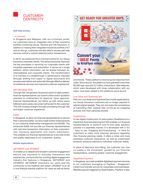

#### Self-help portals

#### - e-Connect

In Singapore and Malaysia, with our e-Connect portal, our customers have an integrated view of their insurance portfolio combining Group, General and Life insurance. In addition to viewing their integrated insurance portfolio 24/7 and on-the-go, customers are also able to access self-help services online to submit selected policy transactions.

In 2018, we enhanced the e-Connect portal for our Group Insurance corporate clients. The enhanced portal improved the key processes in servicing our corporate clients with complete paperless and automation. It serves as a single platform where information can be shared between us, intermediaries and corporate clients. The transformation of e-Connect is a breakthrough in performance internally (through shifting from paper to digital documents and process automation) and externally (through effective delivery of traditional services and improved customer experience).

#### GIX eXchange (GIX)

Through GIX, the general insurance's point of sales system, financial representatives can submit online motor quotation requests to underwriters for approval. Upon approval, financial representatives can follow up with online policy fulfilment and e-policy document will be sent to the customer. This will increase straight-through processing through GIX and better customer experience.

#### EdGE

In Singapore, to allow our financial representatives to service their customers better, we have made further enhancements to our customer relationship management tool (EdGE). The enhanced EdGE will provide our financial representatives with real-time transaction information on their customers' new insurance application and claims submission. This enables our financial representatives to provide timely and quality responses to our customers' queries.

#### Mobile Applications

#### GETGREAT and UPGREAT

To enable us to deepen and broaden customer engagement beyond just insurance to everyday interactions and experiences, we launched two exciting digital engagement industry-first features in Singapore, GETGREAT and UPGREAT. GETGREAT empowers our users and the community to live healthier and better. UPGREAT is an all in one lifestyle rewards platform for users as well as family



and friends. These platforms received good response from users. Since launch, the platforms have garnered more than 80,000 sign-ups and 3.2 million interactions. New features, which were developed with close collaboration with our users, have been added to the platforms since launch.

#### Live Great and SupremeCare

With our Live Great and SupremeCare mobile applications, our Group Insurance customers are no longer required to submit original receipts. They can now enjoy the convenience of submitting their medical bills on-the-go by snapping pictures with their personal phones.

#### **GreatAdvice**

A new digital mobile point-of-sale system GreatAdvice is a interactive financial planning tool that enables our financial representatives to perform end-to-end sales advisory process in a seamless manner. It is developed with 3 'E's - Easy to use, Engaging and Empowering - in mind for customers to make more informed decisions regarding their financial planning needs. It offers a richer and more seamless customer experience, as well as customised products solutions tailored to individual customer needs.

In place of laborious form-filling, the customer can now co-create a life storyboard, guided by our financial representative, enabling greater customer engagement.

#### Digitalised Payment

In Singapore, we made available digitalised payment services to our customers leveraging on PayNow - Singapore's instant fund transfer service for corporates and businesses. Besides payouts triggered by Great Eastern, PayNow is also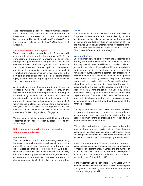enabled for selected group self-service payment transactions on e-Connect. These self-service transactions can be instantaneously processed and paid out to customers' bank accounts. They would also be notified via SMS once the payments are deposited into their PayNow-linked bank accounts.

#### Interactive Voice Response System

We also upgraded our Interactive Voice Response (IVR) system with cloud enabled technology in 2018. The enhancement is critical in improving call experience through intelligent call routing and providing a secure and seamless mobile phone message verification process. It also comes with an auto call-back option for our customers and financial representatives, which serves to reduce their overall waiting time and enhance their call experience. The new solution enabled our call centre to demonstrate greater agility in the workplace, improving operational efficiency and customer-centricity.

Additionally, we are continuing in our journey to provide greater convenience to our customers through the digitalisation of customer correspondences. In doing so, we are ensuring that important customer correspondences are safeguarded by two-factor-authentication and yet still conveniently accessible by the customer anytime. In 2018, we introduced digital policy contracts for our customers in Malaysia. This will be rolled out to Singapore in 2019. We have also started a Go-Green initiative for our annual bonus statements for life policyholders in Singapore.

We are building up our digital capabilities to enhance customer experience. For details, please refer to the Annual Report.

#### Delivering superior service through our service transformation initiatives

#### **Underwriting**

The non-medical limits for term and mortgage-reducing term assurance policies were raised so as to improve the competitiveness of Great Eastern plans and to provide a differentiated experience for our customers. With higher limits that allow the waiver of medical checks for insurability, customers who buy policies within the higher limits will experience a more streamlined purchase process and a shorter turnaround time for their policies to be underwritten.

#### Claims

We implemented Robotics Process Automation (RPA) in Singapore to automate and perform repetitive, high volume and time-consuming tasks for medical claims. The improved efficiency and productivity through the utilization of RPA has allowed us to deliver a faster claims processing turnaround-time for our customers. There are plans to roll out RPA across different functions and regions.

#### Customer Service

Our customer service officers from the Customer and Agency Touchpoints Department are trained to ensure that they maintain relevant skill sets to provide consistent service to our policyholders. All new hires undergo basic life insurance training to familiarise themselves with life insurance products. After the initial induction process, they will be attached to their respective teams to learn specific skills such as call handling and email etiquette. A learning calendar will be provided by Human Resources Department where there will be opportunities throughout the year for experienced staff to sign up for courses relevant to their scope of work. Beyond the courses organised by Human Resources, Claims Department, New Business Underwriting Department and Customer Policy Services Department also conduct technical workshops for our customer service officers so as to further enhance their knowledge of the various processes.

The department also works with external trainers to deliver programmes focused on customer service experience to inspire each and every customer service officer to adopt customer centric approaches in their day-to-day communications with customers.

With an all-round training programme targeting both the technical know-how and service delivery, Great Eastern customer service officers are equipped with the best-in-class knowledge and attitude to deliver superior customer service experience to all our customers and agency representatives.

In our endeavours to achieve an enhanced customer experience, compliments and complaints are key indicators to measure our performance. In Singapore, the number of compliments received far exceeds the number of complaints received, with the ratio of compliments-to-complaints surpassing the 10:1 mark for 2018.

In the Customer Satisfaction Index of Singapore Survey conducted by the Institute of Service Excellence (Singapore Management University), Great Eastern topped the life insurance category in 2017.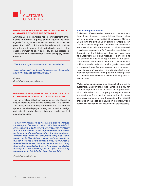

#### PROVIDING SERVICE EXCELLENCE THAT DELIGHTS CUSTOMERS BY GOING THE EXTRA MILE

A Great Eastern policyholder visited our Customer Service Centre to surrender a policy as she required the funds urgently. The payment exceeded the threshold for immediate pay-out and staff took the initiative to liaise with multiple departments to ensure that policyholder received the cheque promptly to allow same-day cheque clearance. The Policyholder was delighted with the exemplary service rendered.

*"Thank you for your assistance for our mutual client.*

*The client specially mentioned Agnes Lim from the counter on how helpful and patient she was. "*

*Cheers Great Eastern Agency Director*

#### PROVIDING SERVICE EXCELLENCE THAT DELIGHTS CUSTOMERS IN OUR USUAL DAY-TO-DAY WORK

The Policyholder called our Customer Service Hotline to enquire more about his existing policies with Great Eastern. The policyholder was very impressed with the staff he spoke to as she displayed strong insurance knowledge, professionalism and at the same time, also provided excellent customer service.

*" I was very impressed by her great patience, detailed knowledge of insurance policies, attention to details & professionalism in addressing my every question. Her ability to multi-task between accessing the screen information, performing on-the-spot calculations & understanding my complex needs makes her exceptional in my eyes. Not to mention her tact in maintaining a great customer experience through her good communication style. Having been a regional leader where Customer Service was part of my divisional responsibilities before, I consider her abilities nothing short of extraordinary. As such, please accept my high regards for this talent in Great Eastern Life."*

*Great Eastern Customer*

#### Financial Representatives

To deliver a differentiated experience for our customers through our financial representatives, the one-stop servicing concept was initiated at our Agency Service Centre with the setting up of claims counters in our branch offices in Singapore. Customer service officers are cross-trained to handle enquiries on claims cases and provide one-stop servicing for financial representatives at the service centre. This improves the overall experience as transactions are being resolved or performed at the counter instead of being referred to our backoffice teams. Dedicated Claims and New Business hotlines were also set up to provide greater speed and convenience for our financial representatives, whenever they require our support. This has resulted in our financial representatives being able to deliver quicker and differentiated resolutions to customer enquiries or transactions.

We have dedicated underwriters serving high-net-worth customers, a new initiative was launched in 2018 for financial representatives to make an appointment with underwriters to accompany the representative and customer for a medical examination. In doing so, underwriters can review the results of the medical check-up on the spot, and advise on the underwriting decision or if any additional requirements are necessary.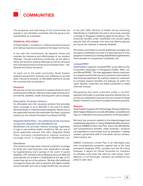

The prosperity and well-being of the communities we operate in are intimately connected with the group's own sustainability as a business.

#### FINANCIAL INCLUSION

At Great Eastern, we believe in making insurance inclusive and making insurance accessible to the larger community.

In line with this commitment, we regularly review and evaluate the relevance and effectiveness of our product offerings. Through continuous monitoring, we are able to refine and enhance existing offerings as well as introduce new innovative products across all our business lines – Life, General and Group insurance.

To reach out to the wider community, Great Eastern supports government schemes and initiatives to provide basic insurance products at affordable premiums across the countries that we operate in.

#### **Singapore**

We are one of only two insurers to support all government schemes and initiatives, offering a wide range of products to provide life, disability, health and long term care coverage.

#### Dependants' Protection Scheme

An affordable term-life insurance scheme that provides basic coverage of up to \$46,000 in the event of death, Terminal Illness or Total Permanent Disability. We are one of two appointed insurers that administer this basic insurance scheme for the Central Provident Fund Board (CPFB).

#### Integrated Shield Plans – the additional private insurance component integrated with MediShield Life

MediShield Life provides lifetime coverage regardless of age or pre-existing health conditions. We are one of seven appointed insurers that offer Integrated Shield Plans, providing comprehensive medical insurance coverage which is integrated with MediShield Life.

#### ElderShield

This scheme provides basic financial protection coverage for those who need long-term care, especially in old age, by supplementing one's savings in the event of severe disability. CPF members with a Medisave Account (MA) will automatically be enrolled in ElderShield at the age of 40, unless they opt out of the scheme. We also offer additional coverage for those who wish to extend it with higher monthly income benefits and over a longer benefit pay-out period. In the year 2020, Ministry of Health will be enhancing ElderShield to CareShield Life which will provide universal coverage to Singapore residents aged 30 and above. The enhanced benefits under CareShield Life include higher payouts that will increase over time and lifetime payouts as long as the claimant is severely disabled.

We remain committed to provide additional coverage over and above CareShield Life when it is launched and is in the progress of reviewing our existing ElderShield Supplementary Plans benefits to complement CareShield Life.

#### compareFIRST

Great Eastern supports compareFIRST, a joint effort by the Consumers Association of Singapore (CASE), MAS, LIA, and MoneySENSE. This web aggregator allows customers to compare and find life insurance products most suited to their financial objectives. By making it easier for customers to compare product benefits and features all within the same website, customers are better positioned to make informed choices.

Recognising that some customers prefer a 'no-frills' approach and prefer to purchase insurance directly from us, we set up a dedicated Customer Service Counter at Great Eastern Centre for our Direct Purchase Insurance products.

#### **Malaysia**

Great Eastern supports the Perlindungan Tenang initiative by Bank Negara Malaysia to provide affordable, accessible and easy-to-understand insurance protection to the population.

We have two products catered to the disadvantaged and underserved segments i.e. Group Multiple Benefits Insurance Scheme (GMBIS) & Easy Care Plus. Due to the affordability and comprehensive benefits, these schemes / products are extended to communities such as plantation / estates workers, government staff in rural areas, factory workers, hotel workers, etc.

GMBIS Investment Linked Plan is an affordable plan with comprehensive protection against loss of life, total permanent disability (TPD), accident and the 36 critical illnesses. It allows for Partial Surrender for members to withdraw units when the need for cash arises. Upon Maturity or Full Surrender, members are entitled to the policy's cash value.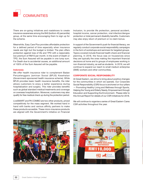

There are on-going initiatives and roadshows to create insurance awareness among the B40 (bottom 40 percentile) group, at the same time encouraging them to sign up for the scheme.

Meanwhile, Easy Care Plus provides affordable protection for a defined period of time especially when insurance needs are high but the budget is limited. The plan offers protection against loss of life and TPD with a reasonably low premium of RM10 per month. In the event of Death or TPD, the Sum Assured will be payable in one lump sum. For Death due to accidental causes, an additional amount of 100% of the Sum Assured will be payable.

#### Indonesia

We offer health insurance rider to complement Badan Penyelenggara Jaminan Sosial (BPJS) Kesehatan (Government-sponsored health insurance scheme). While BPJS provides basic health insurance benefits, the rider allows customers to enjoy a better experience during hospitalization and surgery. This rider provides benefits such as global standard medical treatments and coverage on overseas hospitalization. Moreover, customers may also qualify for free medical check up during the protection period.

LiveSMART and PA COMBO are two other products, priced competitively for the mass segment. We worked hand in hand with banks and various affinity partners to make these products accesible. These micro-insurance products are aligned with the Government's initiative on Financial

Inclusion, to provide life protection, personal accident, hospital income, cancer protection, viral infection/dengue protection or total permanent disability benefits. Customers may also enjoy return of premium or no claim bonus.

In support of the Government's push for financial literacy, we regularly conduct corporate social responsibility campaigns in the form of workshops and seminars for targeted groups. Topics covered include financial health check and financial planning. In 2018, the focus was on housewives since they are typically the ones making the important financial decisions at home and to groups of employees working in non-financial industry, as well as students. In 2019, we will continue to expand our reach to small medium enterprise (SME) workers and other communities.

#### CORPORATE SOCIAL RESPONSIBILITY

At Great Eastern, we strive to bring about positive changes for the communities in which we operate. Our Corporate Social Responsibility (CSR) focus is anchored on four pillars — Promoting Healthy Living and Wellness through Sports, Helping the Young and Elderly Needy, Empowerment through Education and Supporting the Environment. Please refer to this Annual Report for details of our CSR initiatives for 2018.

We will continue to organise a series of Great Eastern Cares CSR activities throughout the year.



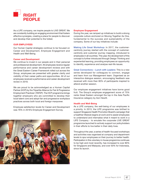

As a LIFE company, we inspire people to LIVE GREAT. We are constantly building an engaging environment that fosters effective synergies, creating a place for people to discover and develop their potential to the fullest.

#### OUR EMPLOYEES

Our Human Capital strategies continue to be focused on Career and Development, Employee Engagement and Health and Well-Being.

#### Career and Development

We continue to invest in our people and in their personal and professional development. All employees receive regular performance and career development reviews and with the Great Eastern Career Framework rolled out across the Group, employees are presented with greater clarity and visibility of their career paths and opportunities. All of our employees received a performance and career development review in 2018.

We are proud to be acknowledged as a Human Capital Partner (HCP) by the Tripartite Alliance for Fair & Progressive Employment Practices' (TAFEP). The HCP programme brings together employers who are committed to develop their local talent core and adopt fair and progressive workplace practices across both local and foreign manpower.

Employee satisfaction levels for Career and Development was 76% in 2018's Employee Engagement Survey.



#### Employee Engagement

During the year, we ramped up initiatives to build a strong corporate culture anchored on Moving Together As One, fundamental to the success and sustainability of the company. Some of our key initiatives include:

Making Life Great Workshop: In 2017, the customercentricity journey started with the concept of customercentricity and customer journey mapping, introduced to employees in all countries. This year, the development of this concept is further introduced through Design Thinking and experiential learning, providing employees an opportunity to identify, experience and analyse real-life issues.

Great Connections – Lunch with Leaders: This is a new series developed for colleagues to connect, engage and learn from our Management team. Organised as an interactive dialogue session, encouraging feedback was received with more than 80% of participants inspired to attend another session.

Our employee engagement initiatives have borne good fruit. The Group's employee engagement score of 75% ranks Great Eastern amongst the top in the Asia Pacific Insurance category by Aon Hewitt.

#### Health and Well-Being

As a LIFE company, the well-being of our employees is a priority. In 2013, the LIFE programme was birthed to support Singapore Health Promotion Board's campaign that a healthier lifestyle begins at work and to assist employees to understand and internalise what it meant to work in a LIFE Company - to emulate the corporate LIVE GREAT programme launched to actively support our policyholders in their efforts to live better in their daily lives.

Throughout the year, a series of health-focused workshops and activities was organised at company and department levels to spur employees on their journey to better health. Participation in this voluntary in-house programme continues to be high and most recently, has increased to over 80% for Singapore and Malaysia, and over 50% for Indonesia, since its launch.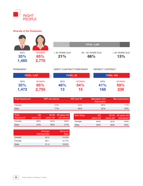Diversity of Our Employees

35% 1,472

RIGHT PEOPLE

|                            |                              |                           |              | <b>TOTAL: 4,255</b>      |                         |
|----------------------------|------------------------------|---------------------------|--------------|--------------------------|-------------------------|
| <b>MEN</b><br>35%<br>1,485 | <b>WOMEN</b><br>65%<br>2,770 | $<$ 30 YEARS OLD<br>21%   |              | 30 - 50 YEARS OLD<br>66% | $>$ 50 YEARS OLD<br>13% |
| <b>PERMANENT</b>           |                              | DIRECT CONTRACT/TEMPORARY |              | <b>INDIRECT CONTRACT</b> |                         |
|                            | <b>TOTAL: 4,227</b>          | <b>TOTAL: 28</b>          |              |                          | <b>TOTAL: 406</b>       |
| <b>MEN</b>                 | <b>WOMEN</b>                 | <b>MEN</b>                | <b>WOMEN</b> | <b>MEN</b>               | <b>WOMEN</b>            |

| <b>Total Headcount</b> | SVP and above | AVP and VP | <b>Managers and</b><br><b>Associates</b> | Non-executives |
|------------------------|---------------|------------|------------------------------------------|----------------|
| Female                 | 23%           | 54%        | 68%                                      | 71%            |
| Male                   | 77%           | 46%        | 32%                                      | 29%            |

54% 15

41% 168

59% 238

46% 13

| 64% | 69% |        |     |     |     |
|-----|-----|--------|-----|-----|-----|
|     |     | Female | 64% | 52% | 50% |
| 36% | 31% | Male   | 36% | 48% | 50% |
|     |     |        |     |     |     |

|         | Average<br>training hour | <b>Turnover</b><br>Rate |
|---------|--------------------------|-------------------------|
| Overall | 30.5                     | 14.8%                   |
| Female  | 30.1                     | 12.7%                   |
| Male    | 31.4                     | 18.8%                   |

65% 2,755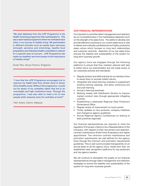*"My best takeaway from the LIFE Programme is the Health Coaching programme that I participated in. This was a team based programme where we motivated each other in our journey to healthy living. We participated in different activities such as weekly team exercises (strength, aerobics and stretching), healthy food preparation and individual health consultations catered for a specific area of concern. LIFE Programme has made me healthier and more aware of the importance of healthy living!"* 

*Susan Neo, Group Finance, Singapore*

*"I love that the LIFE Programme encouraged me to improve my health level from Amber Zone to Green Zone (healthy zone). Without this programme, I would not be aware of my unhealthy habits that led to an overweight and high cholesterol issue. Through the programme, I was also able to meet a lot of new people while enjoying many fun activities at work!"*

*Fatin Aziera, Claims, Malaysia*

#### OUR FINANCIAL REPRESENTATIVES

It is important to prioritise talent management and retention as our competitiveness in the marketplace depends much on the strength of its sales force. The ability to develop and provide effective coaching to our current sales force is vital to deliver and cultivate a professional and highly productive sales culture which focuses on long term relationships and customer centricity. Retention of our top sales force ensures the stability and sustainability of the system for long-term business growth.

Our agency force are engaged through the following platforms to ensure that they maintain relevant skill sets to better serve our policyholders and are made aware of our corporate policies and standards:

- Regular product and skills training for our advisory force to equip them to provide holistic advice
- Integrated bite sized learning modules to supplement existing training roadmap, and allow continuous pre and post learning
- Annual e-learning exercises
- Working closely with Distribution Division to improve market conduct risks through appropriate mitigating controls
- Establishing a dedicated Regional Data Protection Governance Office
- Regular review of improvement on touch points
- Timely updates on new products, company initiatives and changes to agency guidelines
- Annual Regional Agency Conferences on sharing of best practices regionally

Our financial representatives are required to meet the regulatory fit & proper criteria to be a Representative of the Company, with respect to their recruitment and selection, contract maintenance (Field Force Evaluation) and higher appointment. The minimum contract maintenance and promotion requirements are well defined for the agency force through the minimum and promotion requirements guidelines. This is well communicated transparently on an annual basis to all the agency force. Aside from that, we established clear recognition platforms for top producers and top agency leaders.

We will continue to strengthen the quality of our financial representatives through talent management and retention strategies to ensure the stability and sustainability of the system for long-term business growth.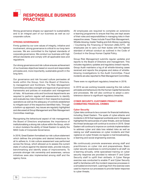

Strong governance shapes our approach to sustainability and is an integral part of our business as well as our corporate culture.

#### STRONG GOVERNANCE

Firmly guided by our core values of integrity, initiative and involvement, strong governance is critical to our long-term success. We are committed to the highest standards of corporate governance. We conduct our business with high ethical standards and comply with all applicable laws and regulations.

Our strong governance and risk culture ensures achievement of our business objectives based on sound and responsible principles and, more importantly, sustainable growth in the long term.

Our governance and risk focused culture permeates all levels within the Group, from the Board of Directors, to management and frontliners. The Risk Management Committee provides oversight and approval of governance frameworks and policies on evaluation and management of risks. All business units and functional departments are required to perform regular self-assessments to identify and evaluate key risks inherent in their respective business operations as well as the adequacy of controls established to mitigate each of the respective identified risks. Through a bottom-up approach, key issues are regularly highlighted and discussed at Group Management and Risk Management Committee meetings.

Recognising the behavioural aspect of risk management, the Board of Directors emphasises the importance of institutionalising a strong risk culture within the Group, which in return bolsters the ability of Great Eastern to satisfy the MAS Code of Corporate Governance.

In 2018, Great Eastern formalised our risk culture statement which defines the principles and desired behaviours for all to adhere to. A risk culture assessment was performed across the Group, which allowed us to assess the current state of culture against the desired state, provide industry benchmarking and identify areas of improvements. To promote stronger risk ownership and awareness, various initiatives were also implemented among staff and the agency force.

All employees are required to complete an extensive e-learning programme to ensure that they are kept aware of their roles and responsibilities in managing risks in their respective areas. These include Fraud Risk Management, Whistle-blowing, Insider Trading and Anti-Money Laundering / Countering the Financing of Terrorism (AML/CFT). All employees are to carry out their duties with the highest standard of ethical conduct as outlined in the Code of Conduct in the Group Human Capital Policy.

Group Risk Management submits regular updates and reports to the Board of Directors and management. This includes regulatory updates and regulatory breach reports. Group Audit maintains a log of all whistle-blowing cases received and reports the progress and status of whistleblowing investigations to the Audit Committee. Fraud incidents are also reported to Risk Management Committee.

There were no significant regulatory breaches in 2018.

In 2019 we are working towards weaving the risk culture principles and behaviours into the Human Capital frameworks and processes. We will also continue to adopt a zerotolerance stance to significant regulatory breaches.

#### CYBER SECURITY, CUSTOMER PRIVACY AND COMBATING FINANCIAL CRIMES

#### Cyber Security

Cyber risks continue to be a concern for financial institutions, including Great Eastern. The spate of cyber-attacks and incidents in 2018 that happened worldwide and in Singapore highlighted the seriousness of cyber threats, and we foresee the threat landscape will continue to evolve in 2019. Great Eastern will continue to improve on controls implementation to address cyber and data loss related risks as well as raising our staff awareness on cyber incidents and their vigilance on cyber threats via regular e-mail broadcasting, e-learning and social engineering exercise.

We continuously promote awareness among staff and practitioners on cyber risk and preparedness. Basic cyber security awareness is communicated to all staff via e-learning annually, while specialised training on cyber security response are provided to relevant IT and Cyber Security staff to uplift their skillsets. A Cyber Range exercise was conducted to enable IT and Cyber Security staff to familiarise with the incident response processes in a simulated environment. Learnings from the exercise were used to improve our processes to provide faster response to cyber threats.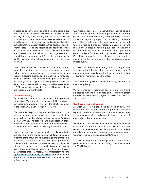A social engineering exercise was also conducted group wide in 2018 for a period of five days to test staff awareness and vigilance against phishing e-mails. To increase the complexity and the authenticity of these e-mails, a total of five different campaigns were designed and used. Besides, testing for staff vigilance in disclosing their personal data, the exercise also tested if the escalation of suspicious e-mails to IT to investigate and block the traffic to these sites. The exercise was concluded with a post campaign awareness e-mail that educates and reinforces the awareness for staff to take precaution when an unknown email has been received.

We will continually invest in new, and refresh of, security technology solutions to keep pace with cyber threats. A Cyber security roadmap has been developed, and various security programs such as security analysis training, "red teaming" exercises to test our cyber response processes, and deployment of "big data" technology such as endpoint detection and user behaviour analytics, will be implemented in 2019 to enhance the capability of Great Eastern to detect and respond to cyber threats.

#### Customer Privacy

Our customers entrust us to protect their personal information. We recognise our responsibility to protect our customers' privacy, in line with the strict regulations of the Personal Data Protection Act (PDPA).

We take this responsibility for confidentiality of our customers' data very seriously and it is one of our highest priorities to ensure that all details of our customers' policies are safe with us. The group is taking all necessary steps to protect our customers' data so that our customers will continue to have confidence in doing business with us.

Our Group Data Governance Policy clearly defines authority and control over the management of all data owned by or in control of the group and its subsidiaries and branches, in both electronic and non-electronic form. Privacy & Security Policies are in place with a view to keeping the public informed on the purpose of our collection and acceptable use of their personal data. These Privacy & Security Policies are available online at https://www.greateasternlife.com/ sg/en/privacy-and-security-policy.html and a reminder of this link is included on the envelopes of all mail sent out to Customers.

Our initiatives to promote PDPA awareness include training to all employees and financial representatives on data governance. Annual e-learning exercises cover different aspects of regulatory topics such as data governance and PDPA. In addition to training, circulars are issued to employees and financial representatives on relevant regulatory updates concerning our industry and their obligations when handling customers' data. Apart from our Group Data Governance Policy, we also have a Data Entry Procedure which gives guidance on how to reflect customers' data in our systems so that there is consistency in data quality.

In 2018, we dovetail with the group's strategies and transformation initiatives for continuous protection of customers' data, including but not limited to automation of customer-related correspondences.

There were no significant cases concerning breaches of customer privacy.

We will continue to strengthen our internal controls and policies to prevent loss of data and to improve better customer experience by refining our processes and customer touch points.

#### Combating Financial Crimes

At Great Eastern, we are in the business of trust. We recognise that financial crimes negatively affect our reputation and our business. We take proactive measures to guard against being used as a vehicle or as a source of any kind of unlawful transactions.

We conduct our business in accordance with high ethical standards and in compliance with all relevant laws and regulations pertaining to financial transactions, including actively managing risks pertaining to money laundering, terrorism financing, and sanctions (ML/TF/S).

The Group regularly reviews policies, procedures, programmes and transaction monitoring systems to manage the ML/TF/S risk.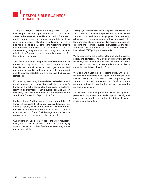

Aiding our AML/CFT efforts is a Group-wide AML/CFT screening and risk scoring system which provides timely automated screening for due diligence checks. The system enables name screening against watch-lists (such as sanctions, terrorists, politically exposed persons and other high risk persons) and categorises the respective person's risk profile based on a set of pre-determined risk factors for the filtering of high-risk persons. This system has been rolled out in Singapore and is currently in progress for Malaysia and Indonesia.

The Group Customer Acceptance Standard sets out the criteria for acceptance of customers. Where a person is identified as high-risk, enhanced due diligence is required and approval from Senior Management is to be obtained prior to business establishment or to continue the business relationship.

For on-going monitoring, it extends beyond reviewing and monitoring customer's transactions to include customer's behaviours and activities as well as the adequacy of customer identification information. Where a suspicious case has been identified, the relevant authorities will be informed and a Suspicious Transaction Report will be filed.

Further, Internal Audit performs a review on our ML/TF/S framework to assess the effectiveness and adequacy of our controls. For any ML/TF/S breaches or incidents of noncompliance, business units are required to file a compliance event report with Group Risk Management and ensure prompt actions are taken to resolve the event.

Our officers are also kept abreast of the latest regulatory changes and developments on AML/CFT as well as emerging types of risk as part of the officer's orientation programme and annual trainings.

All employees are made aware of our policies and standards and all relevant documents are posted in our intranet, making them easily accessible to all employees of the company. All employees are also subjected to training on AML/CFT laws and regulations, customer due diligence measures, detecting and reporting of suspicious transactions, prevailing techniques, methods, trends in ML/TF as well as the Group's internal AML/CFT policy and standards.

We adopt a zero tolerance stance towards fraud, including bribery and corruption. The Group Fraud Risk Management Policy lays the foundation and sets the company's tone from the top with minimum standards and principles in managing fraud risks within the Group.

We also have a Group Insider Trading Policy which sets the minimum standards with regard to the prevention of insider trading within the Group. These are promulgated through compulsory e-learning courses for all employees on a regular basis to raise the level of awareness on the policies requirement.

The Board of Directors together with Senior Management provides strong governance, leadership and oversight to ensure that appropriate and relevant anti financial crime initiatives are carried out.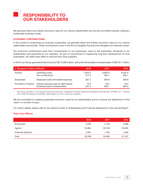

We generate direct and indirect economic value for our various stakeholders and we are committed towards creating a sustainable business model.

#### ECONOMIC CONTRIBUTIONS

In the course of conducting our business sustainably, we generate direct and indirect economic value for our various stakeholders and society. These contributions come in the form of tangible financial and intangible non-financial values.

Our economic contributions arise from compensation to our employees, taxes to the authorities, dividends to our shareholders and payments to our suppliers. As part of commitment to supporting long-term development of local businesses, we make every effort to procure from local suppliers.

In 2018, our Group generated total income of S\$ 12,095 million, with profit attributable to shareholders of S\$740.7 million.

| in Singapore Dollars (millions) |                                      | 2018    | 2017       | 2016    |
|---------------------------------|--------------------------------------|---------|------------|---------|
| Society                         | Operating costs                      | 7,923.5 | $6,956.0*$ | 6,304.0 |
|                                 | Tax contributions                    | 317.3   | 402.1      | 264.1   |
| Employees                       | Employee costs and related expenses  | 307.2   | $359.6*$   | 309.9   |
| Providers of Capital            | Interest expense paid on debt issued | 18.3    | 18.3       | 18.3    |
|                                 | Dividends paid to shareholders       | 331.3   | 236.7      | 260.3   |

The Group adopted a new financial reporting framework, Singapore Financial Reporting Standards (International) ("SFRS(I)") on 1 January 2018. With the adoption of SFRS(I), certain figures for 2017 have been restated.

We are committed to creating sustainable economic value for our stakeholders and to continue the distribution of this value in a number of ways.

For further details, please refer to the sections Letter to Shareholders and Financial Statements in this Annual Report.

#### Total Jobs Offered

|                           | 2018   | 2017   | 2016   |
|---------------------------|--------|--------|--------|
| <b>Employees</b>          | 4,255  | 4,153  | 3,996  |
| Agents                    | 25,864 | 26,150 | 25,605 |
| <b>Financial Advisors</b> | 2,081  | 1,762  | 1,656  |
| Total                     | 32,200 | 32,065 | 31,257 |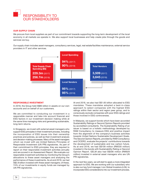

#### OUR SUPPLY CHAIN

We procure from local suppliers as part of our commitment towards supporting the long-term development of the local economy in all markets we operate in. We also support local businesses and help create jobs through the goods and services we buy.

Our supply chain includes asset managers, consultancy services, legal, real estate/facilities maintenance, external service providers in IT and other services.



#### RESPONSIBLE INVESTMENT

In 2018, the Group held S\$85 billion in assets on our own accounts and on behalf of our customers.

We are committed to conducting our investment in a responsible manner and take into account financial and ESG factors in our investment decision making while at the same time managing risks and generating sustainable, long-term returns.

In Singapore, we invest with external asset managers who support ESG principles in their investment process, including the incorporation of ESG issues into their ownership practices and policies, as well as their investment analysis and decision-making processes. Many of the asset managers whom we invest with are United Nations Principles of Responsible Investment (UN PRI) signatories. As part of their commitment to ESG principles, they are required to report on their responsible investment activities annually and are scored in an Assessment Report. We evaluate our responsible investment activities by monitoring the Group's allocations to these asset managers and analysing the performance of these investments. As at end 2018, we had S\$2.8 billion invested with these asset managers; of these, 74% of our investments in equity funds are managed by UN PRI signatories.

At end 2018, we also had S\$1.65 billion allocated to ESG mandates. These mandates adopted a best-in-class approach to select companies with the highest ESG ratings within their sector and region peer group, and to consciously exclude companies with poor ESG ratings and those involved in ESG controversies.

In Malaysia, we support bonds which have been accorded Sustainability Ratings or Second Opinion Reports provided by accredited consultants. The Sustainability Rating of an issuer is based on a holistic methodology developed by RAM Consultancy to measure ESG and positive impact from the alignment of the company's business activities towards United Nations Sustainable Development Goals. The Second Opinion Reports, provided by RAM Consultancy and CICERO, evaluate the projects' contributions towards the development of sustainable and low carbon future. As at end 2018, we had S\$109 million (RM330 million) invested in the bonds with Sustainability Rating or Second Opinion Report. GELM also had S\$306 million (RM929 million) invested in external asset managers who are UN PRI signatories.

In the next few years, we will start to apply a more integrated approach to ESG. We are working with our subsidiary who is also our key fund manager, Lion Global Investors (LGI), to incorporate ESG considerations into our investment process.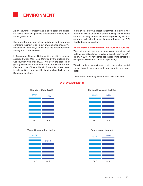

As an insurance company and a good corporate citizen we have a moral obligation to safeguard the well-being of future generations.

Our operations at our office buildings and branches contribute the most to our direct environmental impact. We constantly explore ways to minimise the carbon footprint arising from our operations.

In Singapore, Orchard Gateway @ Emerald have been accorded Green Mark Gold Certified by the Building and Construction Authority (BCA). We are in the process of getting Green Mark Certification for the Great Eastern Centre and the offices in Nankin Rows in 2019. We target to achieve Green Mark certification for all our buildings in Singapore in future.

In Malaysia, our two latest investment buildings, the Equatorial Plaza Office is a Green Building Index (Gold) certified building, and 50 Jalan Ampang building which is currently under development is targeted to achieve GBI Certified upon completion.

#### RESPONSIBLE MANAGEMENT OF OUR RESOURCES

We monitored and reported our energy and emissions and water consumption for our Singapore operations in the 2017 report. In 2018, we have extended the reporting across the Group and also started to track paper usage.

We will continue to monitor and control our environmental impact through our energy, water consumption and paper usage.

Listed below are the figures for year 2017 and 2018.

#### ENERGY & EMISSIONS



#### Electricity Used (kWh)





#### Carbon Emissions (kgCO2)



#### Paper Usage (reams)

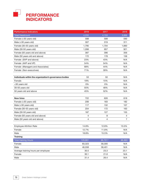

| <b>Performance Indicators</b>                           | 2018    | 2017    | 2016    |
|---------------------------------------------------------|---------|---------|---------|
| <b>Total Headcount</b>                                  | 4,255   | 4,153   | 3,996   |
| Female (<30 years old)                                  | 588     | 599     | 590     |
| Male (<30 years old)                                    | 307     | 319     | 311     |
| Female (30-50 years old)                                | 1,795   | 1,704   | 1,660   |
| Male (30-50 years old)                                  | 1,006   | 957     | 921     |
| Female (50 years old and above)                         | 387     | 396     | 356     |
| Male (50 years old and above)                           | 172     | 178     | 158     |
| Female (SVP and above)                                  | 23%     | 43%     | N/A     |
| Female (AVP and VP)                                     | 54%     | 54%     | N/A     |
| Female (Managers and Associates)                        | 68%     | 44%     | N/A     |
| Female (Non-executives)                                 | 71%     | 39%     | N/A     |
| Individuals within the organization's governance bodies | 53      | 50      | N/A     |
| Female                                                  | 19%     | 15%     | N/A     |
| <30 years old                                           | 0%      | 0%      | N/A     |
| 30-50 years old                                         | 55%     | 48%     | N/A     |
| 50 years old and above                                  | 45%     | 52%     | N/A     |
|                                                         |         |         |         |
| <b>New hires</b>                                        | 722     | 626     | 618     |
| Female (<30 years old)                                  | 206     | 183     | 182     |
| Male (<30 years old)                                    | 117     | 132     | 107     |
| Female (30-50 years old)                                | 204     | 172     | 163     |
| Male (30-50 years old)                                  | 187     | 127     | 155     |
| Female (50 years old and above)                         | 4       | 8       | 4       |
| Male (50 years old and above)                           | 4       | 4       | 7       |
| <b>Employee Attrition Rate</b>                          | 14.8%   | 12.8%   | 13.5%   |
| Female                                                  | 12.7%   | 11.8%   | N/A     |
| Male                                                    | 18.8%   | 15.5%   | N/A     |
| <b>Training</b>                                         |         |         |         |
| Total training Hours                                    | 129,881 | 96,701^ | 88,885^ |
| Female                                                  | 83,323  | 58,300  | N/A     |
| Male                                                    | 46,558  | 38,401  | N/A     |
| Average training hours per employee                     | 30.5    | 23.3    | 23.1    |
| Female                                                  | 30.1    | 21.6    | N/A     |
| Male                                                    | 31.4    | 26.4    | N/A     |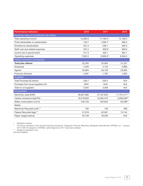| <b>Performance Indicators</b>                | 2018       | 2017       | 2016         |
|----------------------------------------------|------------|------------|--------------|
| Economic Value of Contributions (\$ million) |            |            |              |
| Total operating income                       | 12,095.0   | 17,184.3*  | 12,166.0     |
| Profit attributable to shareholders          | 740.7      | $1,036.7*$ | 589.3        |
| Dividend to shareholders                     | 331.3      | 236.7      | 260.3        |
| Staff cost and related expenses              | 307.2      | 359.6*     | 309.9        |
| Income tax to government                     | 317.3      | 402.1      | 264.1        |
| Operating expenses                           | 7,923.5    | $6,956.0*$ | 6,304.0      |
| <b>Indirect Economic Contribution</b>        |            |            |              |
| <b>Total jobs offered</b>                    | 32,200     | 32,065     | 31,257       |
| Employee                                     | 4,255      | 4,153      | 3,996        |
| Agents                                       | 25,864     | 26,150     | 25,605       |
| <b>Financial Advisors</b>                    | 2,081      | 1,762      | 1,656        |
| Suppliers                                    |            |            |              |
| Total Purchase (\$ million)                  | 256.7      | 229.3      | N/A          |
| Purchase from local suppliers (%)            | 90%        | 94%        | N/A          |
| Total no of suppliers                        | 3,645      | 3,509      | N/A          |
| Environment                                  |            |            |              |
| Electricity used (kWh)                       | 26,847,862 | 27,167,623 | 11,731,411** |
| Carbon emissions (kgCO2)                     | 16,218,050 | 16,462,470 | 5,859,260**  |
| Water consumption (cu/m)                     | 240,749    | 325,842    | 62,596**     |
| Waste                                        |            |            |              |
| Machines Recycled (unit) **                  | 185        | 126        | 306          |
| Papers Recycled (kgs) **                     | 51,918     | 62,567     | 74,144       |
| Paper Usage (reams)                          | 50,159     | 49,529     | N/A          |

^ Restated numbers

\* The Group adopted a new financial reporting framework, Singapore Financial Reporting Standards (International) ("SFRS(I)") on 1 January 2018. With the adoption of SFRS(I), certain figures for 2017 have been restated.

\*\* Singapore operations only

N/A Not Available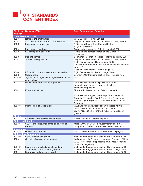

| <b>Number</b>               | <b>Disclosure Disclosure Title</b>                              | <b>Page Reference and Remarks</b>                              |
|-----------------------------|-----------------------------------------------------------------|----------------------------------------------------------------|
|                             | <b>Organisational Profile</b>                                   |                                                                |
| $102 - 1$                   | Name of the organisation                                        | Great Eastern Holdings Limited                                 |
| $102 - 2$                   | Activities, brands, products, and services                      | Segmental Information section. Refer to page 203-206           |
| $102 - 3$                   | Location of headquarters                                        | 1 Pickering Street, Great Eastern Centre,<br>Singapore 048659  |
| $102 - 4$                   | Location of operations                                          | Group Network section. Refer to page 255-257                   |
| $102 - 5$                   | Ownership and legal form                                        | Public limited company listed on the Singapore                 |
|                             |                                                                 | Exchange                                                       |
| $102 - 6$                   | Markets served                                                  | Segmental Information section. Refer to page 203-206           |
| $102 - 7$                   | Scale of the organisation                                       | Segmental Information section. Refer to page 203-206           |
|                             |                                                                 | Right People section. Refer to page 67-68                      |
|                             |                                                                 | Consolidated Profit and Loss Statement section. Refer to       |
|                             |                                                                 | page 117                                                       |
|                             |                                                                 | Balance Sheet section. Refer to page 119                       |
| $102 - 8$                   | Information on employees and other workers                      | Right People section. Refer to page 67-68                      |
| $102 - 9$                   | Supply chain                                                    | Economic Contributions section. Refer to page 73-74            |
| $102 - 10$                  | Significant changes to the organisation and its<br>supply chain | Nil                                                            |
| $102 - 11$                  | Precautionary Principle or approach                             | Great Eastern does not explicitly refer to the                 |
|                             |                                                                 | precautionary principle or approach in its risk                |
|                             |                                                                 | management principles.                                         |
| $102 - 12$                  | <b>External initiatives</b>                                     | Financial Inclusion section. Refer to page 65                  |
|                             |                                                                 |                                                                |
|                             |                                                                 | We are HCPartner, part of our support for Singapore's          |
|                             |                                                                 | Tripartite Alliance for Fair & Progressive Employment          |
|                             |                                                                 | Practices' (TAFEP) Human Capital Partnership (HCP)             |
| 102-13                      | Membership of associations                                      | Programme<br>GEL: Life Insurance Association Singapore ("LIA") |
|                             |                                                                 | GEG: General Insurance Association ("GIA")                     |
|                             |                                                                 | GEFA: Association of Financial Advisers (Singapore)            |
|                             |                                                                 | ("AFAS")                                                       |
| <b>Strategy</b>             |                                                                 |                                                                |
| $102 - 14$                  | Statement from senior decision-maker                            | Board Statement. Refer to page 53                              |
| <b>Ethics and Integrity</b> |                                                                 |                                                                |
| 102-16                      | Values, principles, standards, and norms of                     | https://www.greateasternlife.com/sg/en/about-us/               |
|                             | behavior                                                        | company-profile/our-vision-mission-and-values.html             |
| Governance                  |                                                                 |                                                                |
| 102-18                      | Governance structure                                            | Sustainability Governance section. Refer to page 54            |
|                             | <b>Stakeholder Engagement</b>                                   |                                                                |
| 102-40                      | List of stakeholder groups                                      | Stakeholder Engagement section. Refer to page 57-59            |
| 102-41                      | Collective bargaining agreements                                | In Singapore, the Singapore Insurance Employees' Union         |
|                             |                                                                 | (SIEU) represents our applicable employees' cohort on          |
|                             |                                                                 | collective bargaining.                                         |
| 102-42                      | Identifying and selecting stakeholders                          | Stakeholder Engagement section. Refer to page 57-59            |
| 102-43                      | Approach to stakeholder engagement                              | Stakeholder Engagement section. Refer to page 57-59            |
| 102-44                      | Key topics and concerns raised                                  | Stakeholder Engagement section. Refer to page 57-59            |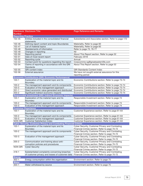|                           | <b>Disclosure Disclosure Title</b>                                     | <b>Page Reference and Remarks</b>                      |
|---------------------------|------------------------------------------------------------------------|--------------------------------------------------------|
| <b>Number</b>             |                                                                        |                                                        |
| <b>Reporting Practice</b> |                                                                        |                                                        |
| 102-45                    | Entities included in the consolidated financial                        | Subsidiaries and Associates section. Refer to page 172 |
|                           | statements                                                             |                                                        |
| 102-46                    | Defining report content and topic Boundaries                           | Materiality. Refer to page 60                          |
| 102-47                    | List of material topics                                                | Materiality. Refer to page 60                          |
| 102-48                    | Restatements of information                                            | Refer to page 73, 76-77                                |
| 102-49                    | Changes in reporting                                                   | Nil                                                    |
| 102-50                    | Reporting period                                                       | About This Report section. Refer to page 52            |
| 102-51                    | Date of most recent report                                             | February 2018                                          |
| 102-52                    | Reporting cycle                                                        | Annual                                                 |
| 102-53                    | Contact point for questions regarding the report                       | Corpcomms-sg@greateasternlife.com                      |
| 102-54                    | Claims of reporting in accordance with the GRI                         | About This Report section. Refer to page 52            |
|                           | Standards                                                              |                                                        |
| 102-55                    | <b>GRI</b> content index                                               | <b>GRI Standards Content Index</b>                     |
| 102-56                    | External assurance                                                     | We have not sought external assurance for this         |
|                           |                                                                        | reporting period                                       |
|                           | <b>Economic Contributions (GRI: Economic Performance)</b>              |                                                        |
| $103 - 1$                 | Explanation of the material topic and its                              | Economic Contributions section. Refer to page 73-74    |
|                           | Boundary                                                               |                                                        |
| $103 - 2$                 | The management approach and its components                             | Economic Contributions section. Refer to page 73-74    |
| $103 - 3$                 | Evaluation of the management approach                                  | Economic Contributions section. Refer to page 73-74    |
| $201 - 1$                 | Direct economic value generated and distributed                        | Economic Contributions section. Refer to page 73-74    |
| $203 - 2$                 | Significant indirect economic impacts                                  | Economic Contributions section. Refer to page 73-74    |
|                           | Responsible Investment (GRI: Indirect Economic Impacts)                |                                                        |
| $103 - 1$                 | Explanation of the material topic and its                              | Responsible Investment section. Refer to page 74       |
|                           | Boundary                                                               |                                                        |
| $103 - 2$                 | The management approach and its components                             | Responsible Investment section. Refer to page 74       |
| $103 - 3$                 | Evaluation of the management approach                                  | Responsible Investment section. Refer to page 74       |
|                           | <b>Customer Experience</b>                                             |                                                        |
| $103 - 1$                 | Explanation of the material topic and its                              | Customer Experience section. Refer to page 61-64       |
|                           | Boundary                                                               |                                                        |
| $103 - 2$                 | The management approach and its components                             | Customer Experience section. Refer to page 61-64       |
| $103 - 3$                 | Evaluation of the management approach                                  | Customer Experience section. Refer to page 61-64       |
| <b>NON GRI</b>            | <b>Customer Satisfaction Index</b>                                     | Customer Experience section. Refer to page 61-64       |
|                           | <b>Cyber Security, Customer Privacy and Combating Financial Crimes</b> |                                                        |
| $103 - 1$                 | Explanation of the material topic and its                              | Cyber Security, Customer Privacy and Combating         |
|                           | Boundary                                                               | Financial Crimes section. Refer to page 70-72          |
| $103 - 2$                 | The management approach and its components                             | Cyber Security, Customer Privacy and Combating         |
|                           |                                                                        | Financial Crimes section. Refer to page 70-72          |
| $103 - 3$                 | Evaluation of the management approach                                  | Cyber Security, Customer Privacy and Combating         |
|                           |                                                                        | Financial Crimes section. Refer to page 70-72          |
| $205 - 2$                 | Communication and training about anti-                                 | Cyber Security, Customer Privacy and Combating         |
|                           | corruption policies and procedures                                     | Financial Crimes section. Refer to page 70-72          |
| <b>NON GRI</b>            | <b>Cyber Security</b>                                                  | Cyber Security, Customer Privacy and Combating         |
|                           |                                                                        | Financial Crimes section. Refer to page 70-72          |
| $418 - 1$                 |                                                                        |                                                        |
|                           | Substantiated complaints concerning breaches                           | Cyber Security, Customer Privacy and Combating         |
|                           | of customer privacy and losses of customer data                        | Financial Crimes section. Refer to page 70-72          |
| <b>Energy</b>             |                                                                        |                                                        |
| $302 - 1$                 | Energy consumption within the organisation                             | Environment section. Refer to page 75                  |
| <b>Water</b>              |                                                                        |                                                        |
| $303 - 1$                 | Water withdrawal by source                                             | Environment section. Refer to page 75                  |